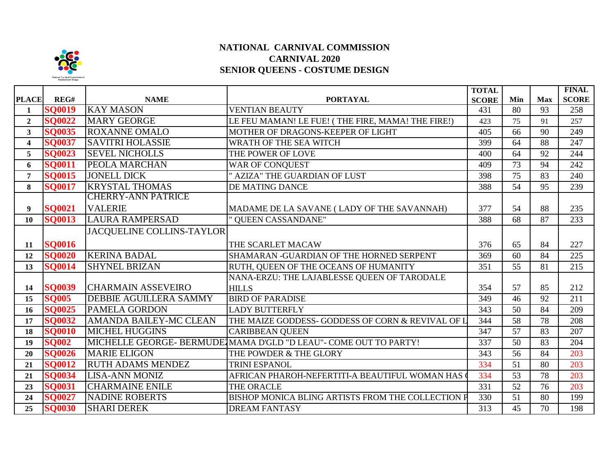

## **NATIONAL CARNIVAL COMMISSION CARNIVAL 2020 SENIOR QUEENS - COSTUME DESIGN**

|                         |               |                               |                                                                  | <b>TOTAL</b> |     |            | <b>FINAL</b> |
|-------------------------|---------------|-------------------------------|------------------------------------------------------------------|--------------|-----|------------|--------------|
| <b>PLACE</b>            | REG#          | <b>NAME</b>                   | <b>PORTAYAL</b>                                                  | <b>SCORE</b> | Min | <b>Max</b> | <b>SCORE</b> |
| $\mathbf{1}$            | <b>SQ0019</b> | <b>KAY MASON</b>              | <b>VENTIAN BEAUTY</b>                                            | 431          | 80  | 93         | 258          |
| $\overline{2}$          | <b>SO0022</b> | <b>MARY GEORGE</b>            | LE FEU MAMAN! LE FUE! (THE FIRE, MAMA! THE FIRE!)                | 423          | 75  | 91         | 257          |
| $\mathbf{3}$            | <b>SO0035</b> | <b>ROXANNE OMALO</b>          | MOTHER OF DRAGONS-KEEPER OF LIGHT                                | 405          | 66  | 90         | 249          |
| $\overline{\mathbf{4}}$ | <b>SQ0037</b> | <b>SAVITRI HOLASSIE</b>       | WRATH OF THE SEA WITCH                                           | 399          | 64  | 88         | 247          |
| 5                       | <b>SQ0023</b> | <b>SEVEL NICHOLLS</b>         | THE POWER OF LOVE                                                | 400          | 64  | 92         | 244          |
| 6                       | <b>SQ0011</b> | <b>PEOLA MARCHAN</b>          | WAR OF CONQUEST                                                  | 409          | 73  | 94         | 242          |
| $\overline{7}$          | <b>SO0015</b> | <b>JONELL DICK</b>            | " AZIZA" THE GUARDIAN OF LUST                                    | 398          | 75  | 83         | 240          |
| 8                       | <b>SO0017</b> | <b>KRYSTAL THOMAS</b>         | DE MATING DANCE                                                  | 388          | 54  | 95         | 239          |
|                         |               | <b>CHERRY-ANN PATRICE</b>     |                                                                  |              |     |            |              |
| 9                       | <b>SQ0021</b> | <b>VALERIE</b>                | MADAME DE LA SAVANE (LADY OF THE SAVANNAH)                       | 377          | 54  | 88         | 235          |
| 10                      | <b>SQ0013</b> | <b>LAURA RAMPERSAD</b>        | " QUEEN CASSANDANE"                                              | 388          | 68  | 87         | 233          |
|                         |               | JACQUELINE COLLINS-TAYLOR     |                                                                  |              |     |            |              |
| 11                      | <b>SQ0016</b> |                               | THE SCARLET MACAW                                                | 376          | 65  | 84         | 227          |
| 12                      | <b>SO0020</b> | <b>KERINA BADAL</b>           | SHAMARAN -GUARDIAN OF THE HORNED SERPENT                         | 369          | 60  | 84         | 225          |
| 13                      | <b>SO0014</b> | <b>SHYNEL BRIZAN</b>          | RUTH, QUEEN OF THE OCEANS OF HUMANITY                            | 351          | 55  | 81         | 215          |
|                         |               |                               | NANA-ERZU: THE LAJABLESSE QUEEN OF TARODALE                      |              |     |            |              |
| 14                      | <b>SQ0039</b> | <b>CHARMAIN ASSEVEIRO</b>     | <b>HILLS</b>                                                     | 354          | 57  | 85         | 212          |
| 15                      | <b>SQ005</b>  | <b>DEBBIE AGUILLERA SAMMY</b> | <b>BIRD OF PARADISE</b>                                          | 349          | 46  | 92         | 211          |
| 16                      | <b>SQ0025</b> | <b>PAMELA GORDON</b>          | <b>LADY BUTTERFLY</b>                                            | 343          | 50  | 84         | 209          |
| 17                      | <b>SQ0032</b> | <b>AMANDA BAILEY-MC CLEAN</b> | THE MAIZE GODDESS- GODDESS OF CORN & REVIVAL OF L                | 344          | 58  | 78         | 208          |
| 18                      | <b>SQ0010</b> | <b>MICHEL HUGGINS</b>         | <b>CARIBBEAN QUEEN</b>                                           | 347          | 57  | 83         | 207          |
| 19                      | <b>SO002</b>  |                               | MICHELLE GEORGE- BERMUDE MAMA D'GLD "D LEAU"- COME OUT TO PARTY! | 337          | 50  | 83         | 204          |
| 20                      | <b>SQ0026</b> | <b>MARIE ELIGON</b>           | THE POWDER & THE GLORY                                           | 343          | 56  | 84         | 203          |
| 21                      | <b>SQ0012</b> | <b>RUTH ADAMS MENDEZ</b>      | <b>TRINI ESPANOL</b>                                             | 334          | 51  | 80         | 203          |
| 21                      | <b>SO0034</b> | <b>LISA-ANN MONIZ</b>         | AFRICAN PHAROH-NEFERTITI-A BEAUTIFUL WOMAN HAS                   | 334          | 53  | 78         | 203          |
| 23                      | <b>SO0031</b> | <b>CHARMAINE ENILE</b>        | THE ORACLE                                                       | 331          | 52  | 76         | 203          |
| 24                      | <b>SO0027</b> | <b>NADINE ROBERTS</b>         | BISHOP MONICA BLING ARTISTS FROM THE COLLECTION P                | 330          | 51  | 80         | 199          |
| 25                      | <b>SQ0030</b> | <b>SHARI DEREK</b>            | <b>DREAM FANTASY</b>                                             | 313          | 45  | 70         | 198          |